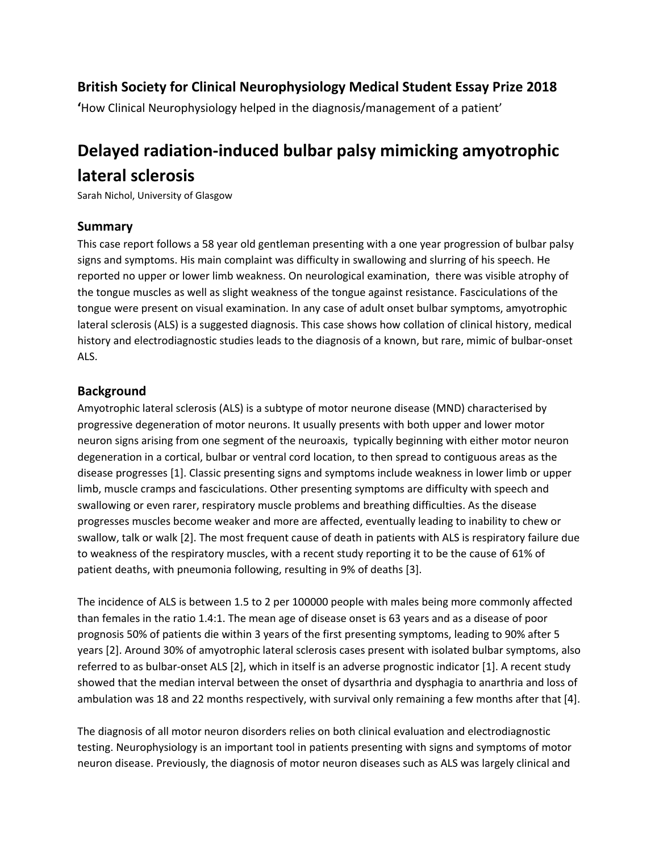## **British Society for Clinical Neurophysiology Medical Student Essay Prize 2018**

**'**How Clinical Neurophysiology helped in the diagnosis/management of a patient'

# **Delayed radiation-induced bulbar palsy mimicking amyotrophic lateral sclerosis**

Sarah Nichol, University of Glasgow

## **Summary**

This case report follows a 58 year old gentleman presenting with a one year progression of bulbar palsy signs and symptoms. His main complaint was difficulty in swallowing and slurring of his speech. He reported no upper or lower limb weakness. On neurological examination, there was visible atrophy of the tongue muscles as well as slight weakness of the tongue against resistance. Fasciculations of the tongue were present on visual examination. In any case of adult onset bulbar symptoms, amyotrophic lateral sclerosis (ALS) is a suggested diagnosis. This case shows how collation of clinical history, medical history and electrodiagnostic studies leads to the diagnosis of a known, but rare, mimic of bulbar-onset ALS.

## **Background**

Amyotrophic lateral sclerosis (ALS) is a subtype of motor neurone disease (MND) characterised by progressive degeneration of motor neurons. It usually presents with both upper and lower motor neuron signs arising from one segment of the neuroaxis, typically beginning with either motor neuron degeneration in a cortical, bulbar or ventral cord location, to then spread to contiguous areas as the disease progresses [1]. Classic presenting signs and symptoms include weakness in lower limb or upper limb, muscle cramps and fasciculations. Other presenting symptoms are difficulty with speech and swallowing or even rarer, respiratory muscle problems and breathing difficulties. As the disease progresses muscles become weaker and more are affected, eventually leading to inability to chew or swallow, talk or walk [2]. The most frequent cause of death in patients with ALS is respiratory failure due to weakness of the respiratory muscles, with a recent study reporting it to be the cause of 61% of patient deaths, with pneumonia following, resulting in 9% of deaths [3].

The incidence of ALS is between 1.5 to 2 per 100000 people with males being more commonly affected than females in the ratio 1.4:1. The mean age of disease onset is 63 years and as a disease of poor prognosis 50% of patients die within 3 years of the first presenting symptoms, leading to 90% after 5 years [2]. Around 30% of amyotrophic lateral sclerosis cases present with isolated bulbar symptoms, also referred to as bulbar-onset ALS [2], which in itself is an adverse prognostic indicator [1]. A recent study showed that the median interval between the onset of dysarthria and dysphagia to anarthria and loss of ambulation was 18 and 22 months respectively, with survival only remaining a few months after that [4].

The diagnosis of all motor neuron disorders relies on both clinical evaluation and electrodiagnostic testing. Neurophysiology is an important tool in patients presenting with signs and symptoms of motor neuron disease. Previously, the diagnosis of motor neuron diseases such as ALS was largely clinical and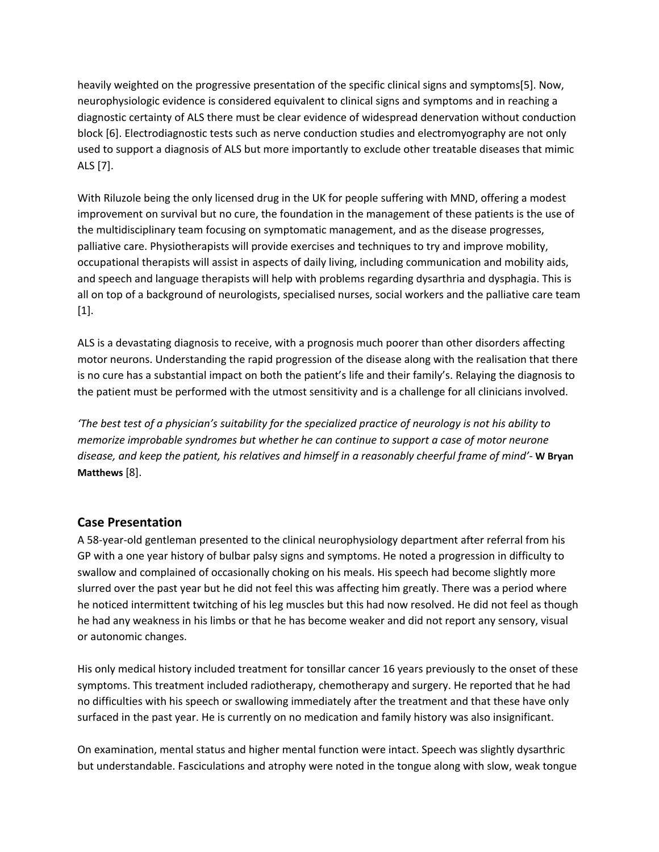heavily weighted on the progressive presentation of the specific clinical signs and symptoms[5]. Now, neurophysiologic evidence is considered equivalent to clinical signs and symptoms and in reaching a diagnostic certainty of ALS there must be clear evidence of widespread denervation without conduction block [6]. Electrodiagnostic tests such as nerve conduction studies and electromyography are not only used to support a diagnosis of ALS but more importantly to exclude other treatable diseases that mimic ALS [7].

With Riluzole being the only licensed drug in the UK for people suffering with MND, offering a modest improvement on survival but no cure, the foundation in the management of these patients is the use of the multidisciplinary team focusing on symptomatic management, and as the disease progresses, palliative care. Physiotherapists will provide exercises and techniques to try and improve mobility, occupational therapists will assist in aspects of daily living, including communication and mobility aids, and speech and language therapists will help with problems regarding dysarthria and dysphagia. This is all on top of a background of neurologists, specialised nurses, social workers and the palliative care team [1].

ALS is a devastating diagnosis to receive, with a prognosis much poorer than other disorders affecting motor neurons. Understanding the rapid progression of the disease along with the realisation that there is no cure has a substantial impact on both the patient's life and their family's. Relaying the diagnosis to the patient must be performed with the utmost sensitivity and is a challenge for all clinicians involved.

'The best test of a physician's suitability for the specialized practice of neurology is not his ability to *memorize improbable syndromes but whether he can continue to support a case of motor neurone* disease, and keep the patient, his relatives and himself in a reasonably cheerful frame of mind'- W Bryan **Matthews** [8].

## **Case Presentation**

A 58-year-old gentleman presented to the clinical neurophysiology department after referral from his GP with a one year history of bulbar palsy signs and symptoms. He noted a progression in difficulty to swallow and complained of occasionally choking on his meals. His speech had become slightly more slurred over the past year but he did not feel this was affecting him greatly. There was a period where he noticed intermittent twitching of his leg muscles but this had now resolved. He did not feel as though he had any weakness in his limbs or that he has become weaker and did not report any sensory, visual or autonomic changes.

His only medical history included treatment for tonsillar cancer 16 years previously to the onset of these symptoms. This treatment included radiotherapy, chemotherapy and surgery. He reported that he had no difficulties with his speech or swallowing immediately after the treatment and that these have only surfaced in the past year. He is currently on no medication and family history was also insignificant.

On examination, mental status and higher mental function were intact. Speech was slightly dysarthric but understandable. Fasciculations and atrophy were noted in the tongue along with slow, weak tongue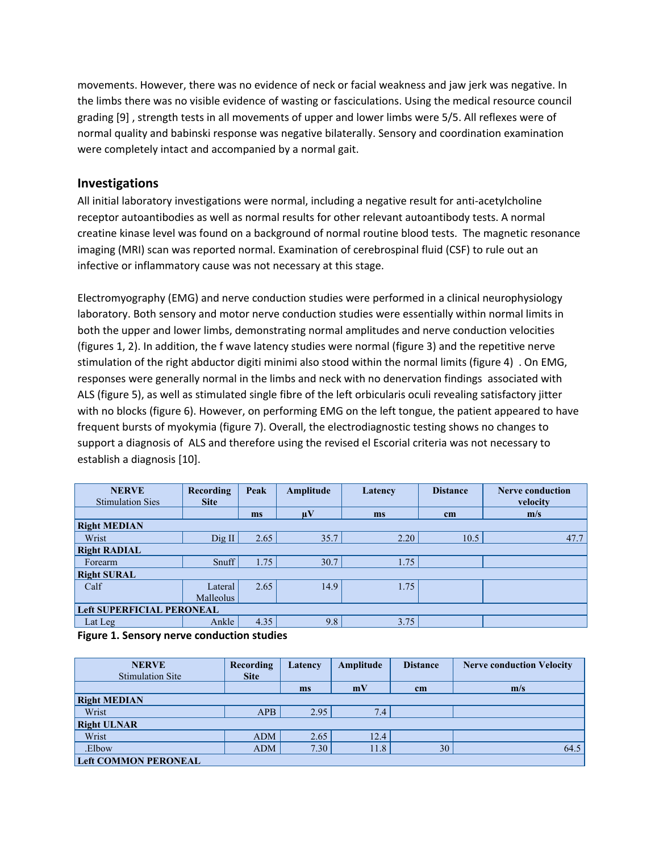movements. However, there was no evidence of neck or facial weakness and jaw jerk was negative. In the limbs there was no visible evidence of wasting or fasciculations. Using the medical resource council grading [9] , strength tests in all movements of upper and lower limbs were 5/5. All reflexes were of normal quality and babinski response was negative bilaterally. Sensory and coordination examination were completely intact and accompanied by a normal gait.

## **Investigations**

All initial laboratory investigations were normal, including a negative result for anti-acetylcholine receptor autoantibodies as well as normal results for other relevant autoantibody tests. A normal creatine kinase level was found on a background of normal routine blood tests. The magnetic resonance imaging (MRI) scan was reported normal. Examination of cerebrospinal fluid (CSF) to rule out an infective or inflammatory cause was not necessary at this stage.

Electromyography (EMG) and nerve conduction studies were performed in a clinical neurophysiology laboratory. Both sensory and motor nerve conduction studies were essentially within normal limits in both the upper and lower limbs, demonstrating normal amplitudes and nerve conduction velocities (figures 1, 2). In addition, the f wave latency studies were normal (figure 3) and the repetitive nerve stimulation of the right abductor digiti minimi also stood within the normal limits (figure 4) . On EMG, responses were generally normal in the limbs and neck with no denervation findings associated with ALS (figure 5), as well as stimulated single fibre of the left orbicularis oculi revealing satisfactory jitter with no blocks (figure 6). However, on performing EMG on the left tongue, the patient appeared to have frequent bursts of myokymia (figure 7). Overall, the electrodiagnostic testing shows no changes to support a diagnosis of ALS and therefore using the revised el Escorial criteria was not necessary to establish a diagnosis [10].

| <b>NERVE</b><br><b>Stimulation Sies</b> | Recording<br><b>Site</b> | Peak  | Amplitude               | Latency | <b>Distance</b> | <b>Nerve conduction</b><br>velocity |
|-----------------------------------------|--------------------------|-------|-------------------------|---------|-----------------|-------------------------------------|
|                                         |                          | ms    | $\mathbf{u} \mathbf{V}$ | ms      | cm              | m/s                                 |
| <b>Right MEDIAN</b>                     |                          |       |                         |         |                 |                                     |
| Wrist                                   | Dig II                   | 2.65  | 35.7                    | 2.20    | 10.5            | 47.7                                |
| <b>Right RADIAL</b>                     |                          |       |                         |         |                 |                                     |
| Forearm                                 | Snuff                    | 1.75' | 30.7                    | 1.75    |                 |                                     |
| <b>Right SURAL</b>                      |                          |       |                         |         |                 |                                     |
| Calf                                    | Lateral                  | 2.65  | 14.9                    | 1.75    |                 |                                     |
|                                         | Malleolus                |       |                         |         |                 |                                     |
| <b>Left SUPERFICIAL PERONEAL</b>        |                          |       |                         |         |                 |                                     |
| Lat Leg                                 | Ankle                    | 4.35  | 9.8                     | 3.75    |                 |                                     |
|                                         | $\sim$ $\sim$            |       |                         |         |                 |                                     |

**Figure 1. Sensory nerve conduction studies**

| <b>NERVE</b><br><b>Stimulation Site</b> | Recording<br><b>Site</b> | Latency | Amplitude | <b>Distance</b> | <b>Nerve conduction Velocity</b> |
|-----------------------------------------|--------------------------|---------|-----------|-----------------|----------------------------------|
|                                         |                          | ms      | mV        | cm              | m/s                              |
| <b>Right MEDIAN</b>                     |                          |         |           |                 |                                  |
| Wrist                                   | <b>APB</b>               | 2.95    | 7.4       |                 |                                  |
| <b>Right ULNAR</b>                      |                          |         |           |                 |                                  |
| Wrist                                   | <b>ADM</b>               | 2.65    | 12.4      |                 |                                  |
| .Elbow                                  | <b>ADM</b>               | 7.30    | 11.8      | 30              | 64.5                             |
| <b>Left COMMON PERONEAL</b>             |                          |         |           |                 |                                  |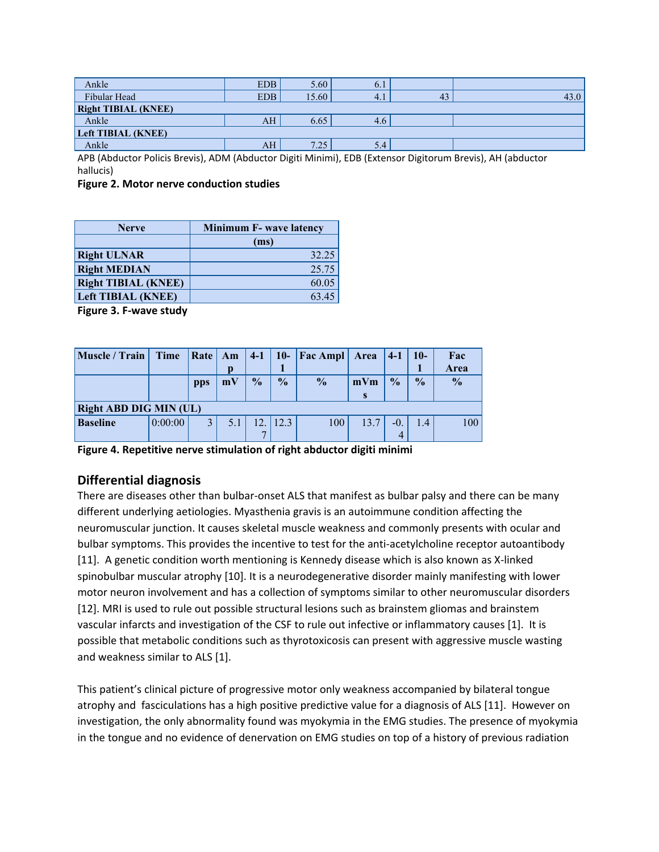| Ankle                      | <b>EDB</b>      | 5.60  | 6.1 |    |       |  |  |  |  |  |
|----------------------------|-----------------|-------|-----|----|-------|--|--|--|--|--|
| Fibular Head               | <b>EDB</b>      | 15.60 | 4.1 | 43 | 43.0' |  |  |  |  |  |
| <b>Right TIBIAL (KNEE)</b> |                 |       |     |    |       |  |  |  |  |  |
| Ankle                      | AH <sup>1</sup> | 6.65  | 4.6 |    |       |  |  |  |  |  |
| <b>Left TIBIAL (KNEE)</b>  |                 |       |     |    |       |  |  |  |  |  |
| Ankle                      | AH/             | 7.25  | 5.4 |    |       |  |  |  |  |  |

APB (Abductor Policis Brevis), ADM (Abductor Digiti Minimi), EDB (Extensor Digitorum Brevis), AH (abductor hallucis)

#### **Figure 2. Motor nerve conduction studies**

| <b>Nerve</b>               | <b>Minimum F- wave latency</b> |  |  |  |  |
|----------------------------|--------------------------------|--|--|--|--|
|                            | (ms)                           |  |  |  |  |
| <b>Right ULNAR</b>         | 32.25                          |  |  |  |  |
| <b>Right MEDIAN</b>        | 25.75                          |  |  |  |  |
| <b>Right TIBIAL (KNEE)</b> | 60.05                          |  |  |  |  |
| <b>Left TIBIAL (KNEE)</b>  | 63.45                          |  |  |  |  |
|                            |                                |  |  |  |  |

**Figure 3. F-wave study**

| Muscle / Train         | Time    |     | $\vert$ Rate $\vert$ Am $\vert$ 4-1 |               | $10-$         | <b>Fac Ampl</b> Area |        | $ 4-1 $       | $10-$         | Fac<br>Area   |
|------------------------|---------|-----|-------------------------------------|---------------|---------------|----------------------|--------|---------------|---------------|---------------|
|                        |         | pps | mV                                  | $\frac{0}{0}$ | $\frac{1}{2}$ | $\frac{0}{0}$        | $mV$ m | $\frac{0}{0}$ | $\frac{0}{0}$ | $\frac{0}{0}$ |
|                        |         |     |                                     |               |               |                      | S      |               |               |               |
| Right ABD DIG MIN (UL) |         |     |                                     |               |               |                      |        |               |               |               |
| <b>Baseline</b>        | 0:00:00 |     |                                     | 12.           | 12.3          | 100                  | 13.7   | -0            | 14            | 100           |
|                        |         |     |                                     |               |               |                      |        |               |               |               |

**Figure 4. Repetitive nerve stimulation of right abductor digiti minimi**

## **Differential diagnosis**

There are diseases other than bulbar-onset ALS that manifest as bulbar palsy and there can be many different underlying aetiologies. Myasthenia gravis is an autoimmune condition affecting the neuromuscular junction. It causes skeletal muscle weakness and commonly presents with ocular and bulbar symptoms. This provides the incentive to test for the anti-acetylcholine receptor autoantibody [11]. A genetic condition worth mentioning is Kennedy disease which is also known as X-linked spinobulbar muscular atrophy [10]. It is a neurodegenerative disorder mainly manifesting with lower motor neuron involvement and has a collection of symptoms similar to other neuromuscular disorders [12]. MRI is used to rule out possible structural lesions such as brainstem gliomas and brainstem vascular infarcts and investigation of the CSF to rule out infective or inflammatory causes [1]. It is possible that metabolic conditions such as thyrotoxicosis can present with aggressive muscle wasting and weakness similar to ALS [1].

This patient's clinical picture of progressive motor only weakness accompanied by bilateral tongue atrophy and fasciculations has a high positive predictive value for a diagnosis of ALS [11]. However on investigation, the only abnormality found was myokymia in the EMG studies. The presence of myokymia in the tongue and no evidence of denervation on EMG studies on top of a history of previous radiation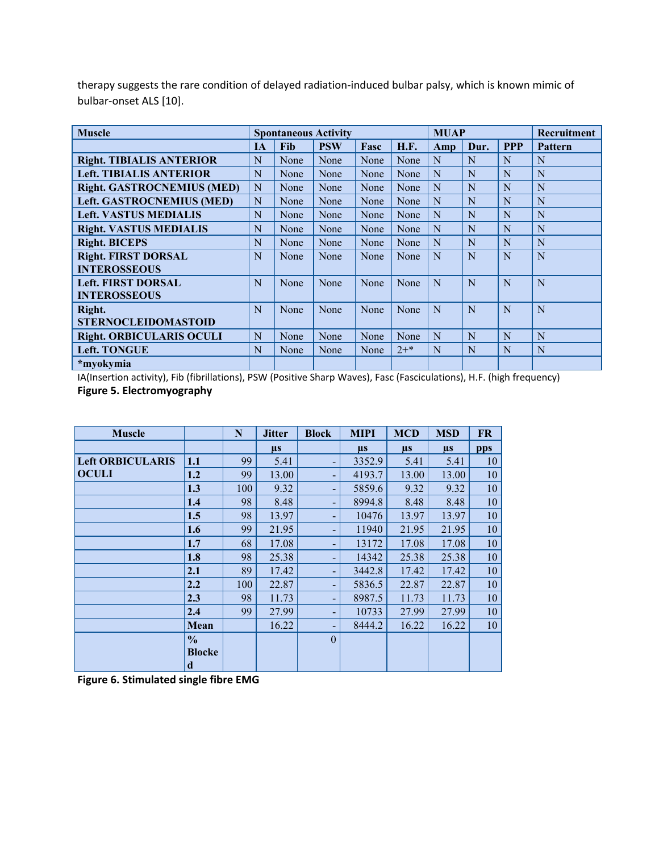| <b>Muscle</b>                     | <b>Spontaneous Activity</b> |      |            |      |             | <b>MUAP</b> |      | Recruitment |                |
|-----------------------------------|-----------------------------|------|------------|------|-------------|-------------|------|-------------|----------------|
|                                   | <b>IA</b>                   | Fib  | <b>PSW</b> | Fasc | <b>H.F.</b> | Amp         | Dur. | <b>PPP</b>  | <b>Pattern</b> |
| <b>Right. TIBIALIS ANTERIOR</b>   | N                           | None | None       | None | None        | N           | N    | N           | N              |
| <b>Left. TIBIALIS ANTERIOR</b>    | N                           | None | None       | None | None        | N           | N    | N           | N              |
| <b>Right. GASTROCNEMIUS (MED)</b> | N                           | None | None       | None | None        | N           | N    | N           | N              |
| <b>Left. GASTROCNEMIUS (MED)</b>  | N                           | None | None       | None | None        | N           | N    | N           | N              |
| <b>Left. VASTUS MEDIALIS</b>      | N                           | None | None       | None | None        | N           | N    | N           | N              |
| <b>Right. VASTUS MEDIALIS</b>     | N                           | None | None       | None | None        | N           | N    | N           | N              |
| <b>Right. BICEPS</b>              | N                           | None | None       | None | None        | N           | N    | N           | N              |
| <b>Right. FIRST DORSAL</b>        | N                           | None | None       | None | None        | N           | N    | N           | N              |
| <b>INTEROSSEOUS</b>               |                             |      |            |      |             |             |      |             |                |
| <b>Left. FIRST DORSAL</b>         |                             | None | None       | None | None        | N           | N    | N           | N              |
| <b>INTEROSSEOUS</b>               |                             |      |            |      |             |             |      |             |                |
| Right.                            | N                           | None | None       | None | None        | N           | N    | N           | N              |
| <b>STERNOCLEIDOMASTOID</b>        |                             |      |            |      |             |             |      |             |                |
| <b>Right. ORBICULARIS OCULI</b>   | N                           | None | None       | None | None        | N           | N    | N           | N              |
| <b>Left. TONGUE</b>               | N                           | None | None       | None | $2+$ *      | N           | N    | N           | N              |
| *myokymia                         |                             |      |            |      |             |             |      |             |                |

therapy suggests the rare condition of delayed radiation-induced bulbar palsy, which is known mimic of bulbar-onset ALS [10].

IA(Insertion activity), Fib (fibrillations), PSW (Positive Sharp Waves), Fasc (Fasciculations), H.F. (high frequency) **Figure 5. Electromyography**

| <b>Muscle</b>           |               | N   | <b>Jitter</b> | <b>Block</b>             | <b>MIPI</b> | <b>MCD</b> | <b>MSD</b> | <b>FR</b> |
|-------------------------|---------------|-----|---------------|--------------------------|-------------|------------|------------|-----------|
|                         |               |     | $\mu s$       |                          | μs          | $\mu s$    | $\mu s$    | pps       |
| <b>Left ORBICULARIS</b> | 1.1           | 99  | 5.41          | ۰                        | 3352.9      | 5.41       | 5.41       | 10        |
| <b>OCULI</b>            | 1.2           | 99  | 13.00         | ٠                        | 4193.7      | 13.00      | 13.00      | 10        |
|                         | 1.3           | 100 | 9.32          | ٠                        | 5859.6      | 9.32       | 9.32       | 10        |
|                         | 1.4           | 98  | 8.48          | ٠                        | 8994.8      | 8.48       | 8.48       | 10        |
|                         | 1.5           | 98  | 13.97         | ۰                        | 10476       | 13.97      | 13.97      | 10        |
|                         | 1.6           | 99  | 21.95         | ٠                        | 11940       | 21.95      | 21.95      | 10        |
|                         | 1.7           | 68  | 17.08         | ٠                        | 13172       | 17.08      | 17.08      | 10        |
|                         | 1.8           | 98  | 25.38         | ٠                        | 14342       | 25.38      | 25.38      | 10        |
|                         | 2.1           | 89  | 17.42         | ۰                        | 3442.8      | 17.42      | 17.42      | 10        |
|                         | 2.2           | 100 | 22.87         | $\overline{\phantom{a}}$ | 5836.5      | 22.87      | 22.87      | 10        |
|                         | 2.3           | 98  | 11.73         | ۰                        | 8987.5      | 11.73      | 11.73      | 10        |
|                         | 2.4           | 99  | 27.99         | ٠                        | 10733       | 27.99      | 27.99      | 10        |
|                         | Mean          |     | 16.22         |                          | 8444.2      | 16.22      | 16.22      | 10        |
|                         | $\frac{0}{0}$ |     |               | $\theta$                 |             |            |            |           |
|                         | <b>Blocke</b> |     |               |                          |             |            |            |           |
|                         | d             |     |               |                          |             |            |            |           |

**Figure 6. Stimulated single fibre EMG**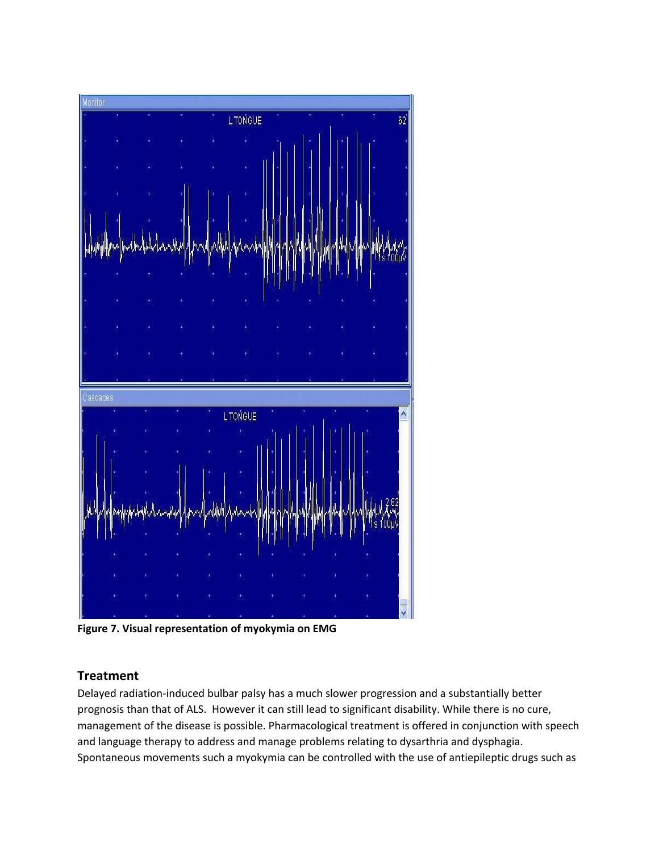

**Figure 7. Visual representation of myokymia on EMG**

## **Treatment**

Delayed radiation-induced bulbar palsy has a much slower progression and a substantially better prognosis than that of ALS. However it can still lead to significant disability. While there is no cure, management of the disease is possible. Pharmacological treatment is offered in conjunction with speech and language therapy to address and manage problems relating to dysarthria and dysphagia. Spontaneous movements such a myokymia can be controlled with the use of antiepileptic drugs such as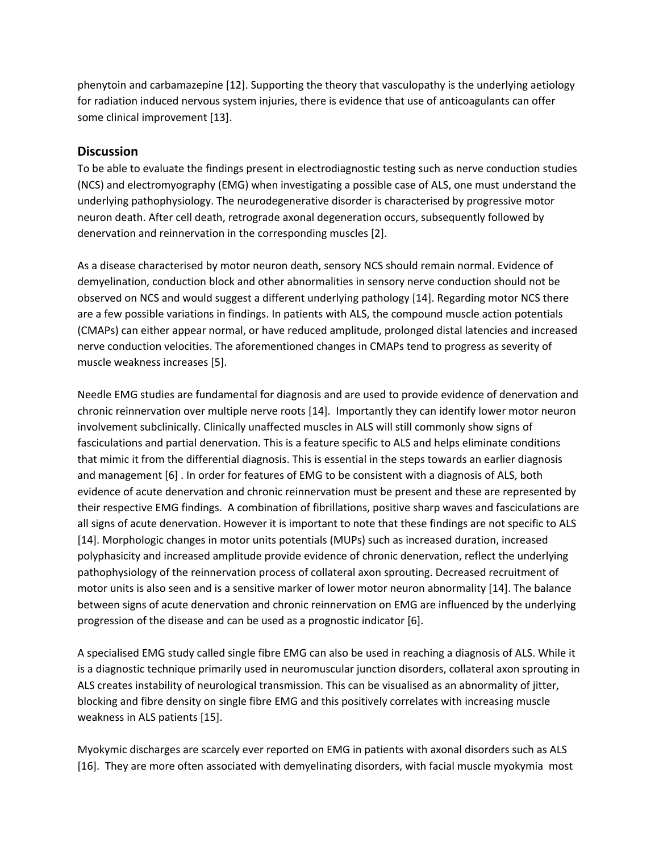phenytoin and carbamazepine [12]. Supporting the theory that vasculopathy is the underlying aetiology for radiation induced nervous system injuries, there is evidence that use of anticoagulants can offer some clinical improvement [13].

## **Discussion**

To be able to evaluate the findings present in electrodiagnostic testing such as nerve conduction studies (NCS) and electromyography (EMG) when investigating a possible case of ALS, one must understand the underlying pathophysiology. The neurodegenerative disorder is characterised by progressive motor neuron death. After cell death, retrograde axonal degeneration occurs, subsequently followed by denervation and reinnervation in the corresponding muscles [2].

As a disease characterised by motor neuron death, sensory NCS should remain normal. Evidence of demyelination, conduction block and other abnormalities in sensory nerve conduction should not be observed on NCS and would suggest a different underlying pathology [14]. Regarding motor NCS there are a few possible variations in findings. In patients with ALS, the compound muscle action potentials (CMAPs) can either appear normal, or have reduced amplitude, prolonged distal latencies and increased nerve conduction velocities. The aforementioned changes in CMAPs tend to progress as severity of muscle weakness increases [5].

Needle EMG studies are fundamental for diagnosis and are used to provide evidence of denervation and chronic reinnervation over multiple nerve roots [14]. Importantly they can identify lower motor neuron involvement subclinically. Clinically unaffected muscles in ALS will still commonly show signs of fasciculations and partial denervation. This is a feature specific to ALS and helps eliminate conditions that mimic it from the differential diagnosis. This is essential in the steps towards an earlier diagnosis and management [6] . In order for features of EMG to be consistent with a diagnosis of ALS, both evidence of acute denervation and chronic reinnervation must be present and these are represented by their respective EMG findings. A combination of fibrillations, positive sharp waves and fasciculations are all signs of acute denervation. However it is important to note that these findings are not specific to ALS [14]. Morphologic changes in motor units potentials (MUPs) such as increased duration, increased polyphasicity and increased amplitude provide evidence of chronic denervation, reflect the underlying pathophysiology of the reinnervation process of collateral axon sprouting. Decreased recruitment of motor units is also seen and is a sensitive marker of lower motor neuron abnormality [14]. The balance between signs of acute denervation and chronic reinnervation on EMG are influenced by the underlying progression of the disease and can be used as a prognostic indicator [6].

A specialised EMG study called single fibre EMG can also be used in reaching a diagnosis of ALS. While it is a diagnostic technique primarily used in neuromuscular junction disorders, collateral axon sprouting in ALS creates instability of neurological transmission. This can be visualised as an abnormality of jitter, blocking and fibre density on single fibre EMG and this positively correlates with increasing muscle weakness in ALS patients [15].

Myokymic discharges are scarcely ever reported on EMG in patients with axonal disorders such as ALS [16]. They are more often associated with demyelinating disorders, with facial muscle myokymia most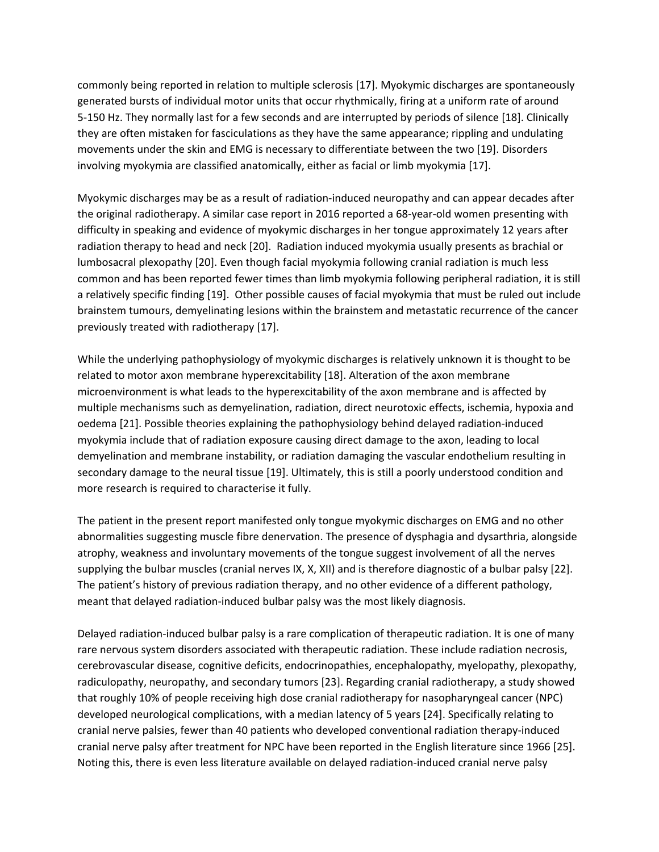commonly being reported in relation to multiple sclerosis [17]. Myokymic discharges are spontaneously generated bursts of individual motor units that occur rhythmically, firing at a uniform rate of around 5-150 Hz. They normally last for a few seconds and are interrupted by periods of silence [18]. Clinically they are often mistaken for fasciculations as they have the same appearance; rippling and undulating movements under the skin and EMG is necessary to differentiate between the two [19]. Disorders involving myokymia are classified anatomically, either as facial or limb myokymia [17].

Myokymic discharges may be as a result of radiation-induced neuropathy and can appear decades after the original radiotherapy. A similar case report in 2016 reported a 68-year-old women presenting with difficulty in speaking and evidence of myokymic discharges in her tongue approximately 12 years after radiation therapy to head and neck [20]. Radiation induced myokymia usually presents as brachial or lumbosacral plexopathy [20]. Even though facial myokymia following cranial radiation is much less common and has been reported fewer times than limb myokymia following peripheral radiation, it is still a relatively specific finding [19]. Other possible causes of facial myokymia that must be ruled out include brainstem tumours, demyelinating lesions within the brainstem and metastatic recurrence of the cancer previously treated with radiotherapy [17].

While the underlying pathophysiology of myokymic discharges is relatively unknown it is thought to be related to motor axon membrane hyperexcitability [18]. Alteration of the axon membrane microenvironment is what leads to the hyperexcitability of the axon membrane and is affected by multiple mechanisms such as demyelination, radiation, direct neurotoxic effects, ischemia, hypoxia and oedema [21]. Possible theories explaining the pathophysiology behind delayed radiation-induced myokymia include that of radiation exposure causing direct damage to the axon, leading to local demyelination and membrane instability, or radiation damaging the vascular endothelium resulting in secondary damage to the neural tissue [19]. Ultimately, this is still a poorly understood condition and more research is required to characterise it fully.

The patient in the present report manifested only tongue myokymic discharges on EMG and no other abnormalities suggesting muscle fibre denervation. The presence of dysphagia and dysarthria, alongside atrophy, weakness and involuntary movements of the tongue suggest involvement of all the nerves supplying the bulbar muscles (cranial nerves IX, X, XII) and is therefore diagnostic of a bulbar palsy [22]. The patient's history of previous radiation therapy, and no other evidence of a different pathology, meant that delayed radiation-induced bulbar palsy was the most likely diagnosis.

Delayed radiation-induced bulbar palsy is a rare complication of therapeutic radiation. It is one of many rare nervous system disorders associated with therapeutic radiation. These include radiation necrosis, cerebrovascular disease, cognitive deficits, endocrinopathies, encephalopathy, myelopathy, plexopathy, radiculopathy, neuropathy, and secondary tumors [23]. Regarding cranial radiotherapy, a study showed that roughly 10% of people receiving high dose cranial radiotherapy for nasopharyngeal cancer (NPC) developed neurological complications, with a median latency of 5 years [24]. Specifically relating to cranial nerve palsies, fewer than 40 patients who developed conventional radiation therapy-induced cranial nerve palsy after treatment for NPC have been reported in the English literature since 1966 [25]. Noting this, there is even less literature available on delayed radiation-induced cranial nerve palsy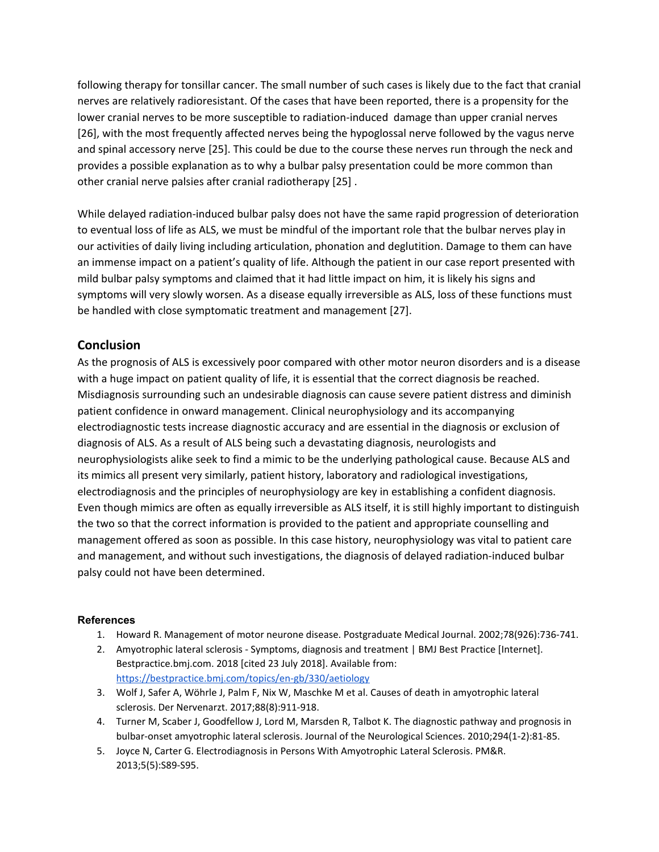following therapy for tonsillar cancer. The small number of such cases is likely due to the fact that cranial nerves are relatively radioresistant. Of the cases that have been reported, there is a propensity for the lower cranial nerves to be more susceptible to radiation-induced damage than upper cranial nerves [26], with the most frequently affected nerves being the hypoglossal nerve followed by the vagus nerve and spinal accessory nerve [25]. This could be due to the course these nerves run through the neck and provides a possible explanation as to why a bulbar palsy presentation could be more common than other cranial nerve palsies after cranial radiotherapy [25] .

While delayed radiation-induced bulbar palsy does not have the same rapid progression of deterioration to eventual loss of life as ALS, we must be mindful of the important role that the bulbar nerves play in our activities of daily living including articulation, phonation and deglutition. Damage to them can have an immense impact on a patient's quality of life. Although the patient in our case report presented with mild bulbar palsy symptoms and claimed that it had little impact on him, it is likely his signs and symptoms will very slowly worsen. As a disease equally irreversible as ALS, loss of these functions must be handled with close symptomatic treatment and management [27].

## **Conclusion**

As the prognosis of ALS is excessively poor compared with other motor neuron disorders and is a disease with a huge impact on patient quality of life, it is essential that the correct diagnosis be reached. Misdiagnosis surrounding such an undesirable diagnosis can cause severe patient distress and diminish patient confidence in onward management. Clinical neurophysiology and its accompanying electrodiagnostic tests increase diagnostic accuracy and are essential in the diagnosis or exclusion of diagnosis of ALS. As a result of ALS being such a devastating diagnosis, neurologists and neurophysiologists alike seek to find a mimic to be the underlying pathological cause. Because ALS and its mimics all present very similarly, patient history, laboratory and radiological investigations, electrodiagnosis and the principles of neurophysiology are key in establishing a confident diagnosis. Even though mimics are often as equally irreversible as ALS itself, it is still highly important to distinguish the two so that the correct information is provided to the patient and appropriate counselling and management offered as soon as possible. In this case history, neurophysiology was vital to patient care and management, and without such investigations, the diagnosis of delayed radiation-induced bulbar palsy could not have been determined.

#### **References**

- 1. Howard R. Management of motor neurone disease. Postgraduate Medical Journal. 2002;78(926):736-741.
- 2. Amyotrophic lateral sclerosis Symptoms, diagnosis and treatment | BMJ Best Practice [Internet]. Bestpractice.bmj.com. 2018 [cited 23 July 2018]. Available from: <https://bestpractice.bmj.com/topics/en-gb/330/aetiology>
- 3. Wolf J, Safer A, Wöhrle J, Palm F, Nix W, Maschke M et al. Causes of death in amyotrophic lateral sclerosis. Der Nervenarzt. 2017;88(8):911-918.
- 4. Turner M, Scaber J, Goodfellow J, Lord M, Marsden R, Talbot K. The diagnostic pathway and prognosis in bulbar-onset amyotrophic lateral sclerosis. Journal of the Neurological Sciences. 2010;294(1-2):81-85.
- 5. Joyce N, Carter G. Electrodiagnosis in Persons With Amyotrophic Lateral Sclerosis. PM&R. 2013;5(5):S89-S95.